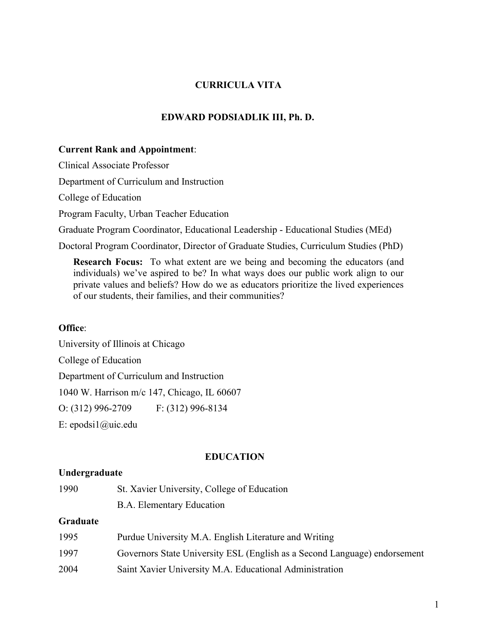# **CURRICULA VITA**

## **EDWARD PODSIADLIK III, Ph. D.**

#### **Current Rank and Appointment**:

Clinical Associate Professor

Department of Curriculum and Instruction

College of Education

Program Faculty, Urban Teacher Education

Graduate Program Coordinator, Educational Leadership - Educational Studies (MEd)

Doctoral Program Coordinator, Director of Graduate Studies, Curriculum Studies (PhD)

**Research Focus:** To what extent are we being and becoming the educators (and individuals) we've aspired to be? In what ways does our public work align to our private values and beliefs? How do we as educators prioritize the lived experiences of our students, their families, and their communities?

# **Office**:

University of Illinois at Chicago College of Education Department of Curriculum and Instruction 1040 W. Harrison m/c 147, Chicago, IL 60607 O: (312) 996-2709 F: (312) 996-8134 E: [epodsi1@uic.edu](mailto:epodsi1@uic.edu)

### **EDUCATION**

#### **Undergraduate**

1990 St. Xavier University, College of Education B.A. Elementary Education

# **Graduate**

| 1995 | Purdue University M.A. English Literature and Writing                     |
|------|---------------------------------------------------------------------------|
| 1997 | Governors State University ESL (English as a Second Language) endorsement |
| 2004 | Saint Xavier University M.A. Educational Administration                   |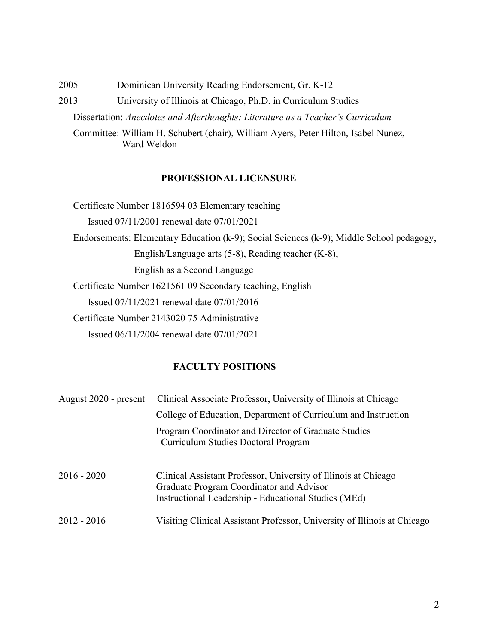2005 Dominican University Reading Endorsement, Gr. K-12

2013 University of Illinois at Chicago, Ph.D. in Curriculum Studies

Dissertation: *Anecdotes and Afterthoughts: Literature as a Teacher's Curriculum* 

Committee: William H. Schubert (chair), William Ayers, Peter Hilton, Isabel Nunez, Ward Weldon

# **PROFESSIONAL LICENSURE**

Certificate Number 1816594 03 Elementary teaching Issued 07/11/2001 renewal date 07/01/2021 Endorsements: Elementary Education (k-9); Social Sciences (k-9); Middle School pedagogy, English/Language arts (5-8), Reading teacher (K-8), English as a Second Language Certificate Number 1621561 09 Secondary teaching, English Issued 07/11/2021 renewal date 07/01/2016 Certificate Number 2143020 75 Administrative Issued 06/11/2004 renewal date 07/01/2021

# **FACULTY POSITIONS**

| August 2020 - present | Clinical Associate Professor, University of Illinois at Chicago                                                                                                     |
|-----------------------|---------------------------------------------------------------------------------------------------------------------------------------------------------------------|
|                       | College of Education, Department of Curriculum and Instruction                                                                                                      |
|                       | Program Coordinator and Director of Graduate Studies<br><b>Curriculum Studies Doctoral Program</b>                                                                  |
| $2016 - 2020$         | Clinical Assistant Professor, University of Illinois at Chicago<br>Graduate Program Coordinator and Advisor<br>Instructional Leadership - Educational Studies (MEd) |
| $2012 - 2016$         | Visiting Clinical Assistant Professor, University of Illinois at Chicago                                                                                            |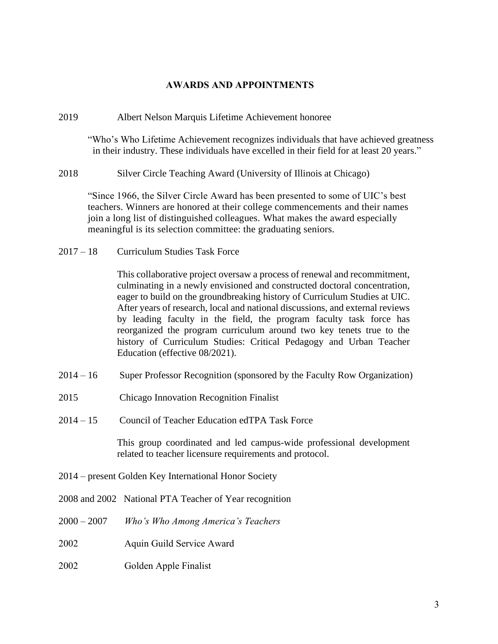# **AWARDS AND APPOINTMENTS**

2019 Albert Nelson Marquis Lifetime Achievement honoree

"Who's Who Lifetime Achievement recognizes individuals that have achieved greatness in their industry. These individuals have excelled in their field for at least 20 years."

2018 Silver Circle Teaching Award (University of Illinois at Chicago)

"Since 1966, the Silver Circle Award has been presented to some of UIC's best teachers. Winners are honored at their college commencements and their names join a long list of distinguished colleagues. What makes the award especially meaningful is its selection committee: the graduating seniors.

2017 – 18 Curriculum Studies Task Force

This collaborative project oversaw a process of renewal and recommitment, culminating in a newly envisioned and constructed doctoral concentration, eager to build on the groundbreaking history of Curriculum Studies at UIC. After years of research, local and national discussions, and external reviews by leading faculty in the field, the program faculty task force has reorganized the program curriculum around two key tenets true to the history of Curriculum Studies: Critical Pedagogy and Urban Teacher Education (effective 08/2021).

- 2014 16 Super Professor Recognition (sponsored by the Faculty Row Organization)
- 2015 Chicago Innovation Recognition Finalist
- 2014 15 Council of Teacher Education edTPA Task Force

 This group coordinated and led campus-wide professional development related to teacher licensure requirements and protocol.

- 2014 present Golden Key International Honor Society
- 2008 and 2002 National PTA Teacher of Year recognition
- 2000 2007 *Who's Who Among America's Teachers*
- 2002 Aquin Guild Service Award
- 2002 Golden Apple Finalist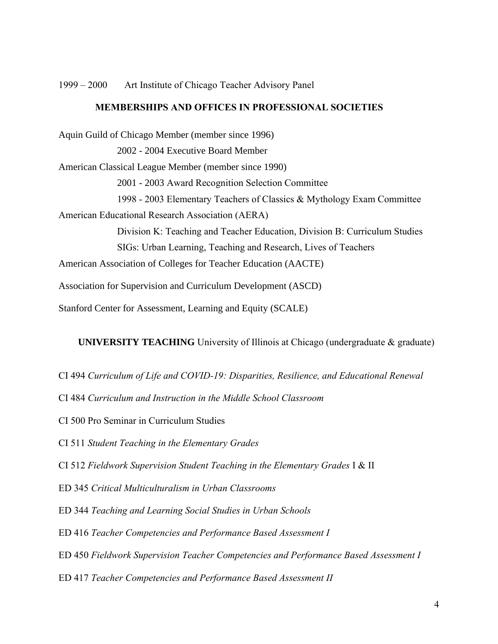1999 – 2000 Art Institute of Chicago Teacher Advisory Panel

## **MEMBERSHIPS AND OFFICES IN PROFESSIONAL SOCIETIES**

Aquin Guild of Chicago Member (member since 1996) 2002 - 2004 Executive Board Member American Classical League Member (member since 1990) 2001 - 2003 Award Recognition Selection Committee 1998 - 2003 Elementary Teachers of Classics & Mythology Exam Committee American Educational Research Association (AERA) Division K: Teaching and Teacher Education, Division B: Curriculum Studies SIGs: Urban Learning, Teaching and Research, Lives of Teachers American Association of Colleges for Teacher Education (AACTE) Association for Supervision and Curriculum Development (ASCD)

Stanford Center for Assessment, Learning and Equity (SCALE)

**UNIVERSITY TEACHING** University of Illinois at Chicago (undergraduate & graduate)

- CI 494 *Curriculum of Life and COVID-19: Disparities, Resilience, and Educational Renewal*
- CI 484 *Curriculum and Instruction in the Middle School Classroom*
- CI 500 Pro Seminar in Curriculum Studies

CI 511 *Student Teaching in the Elementary Grades*

CI 512 *Fieldwork Supervision Student Teaching in the Elementary Grades* I & II

- ED 345 *Critical Multiculturalism in Urban Classrooms*
- ED 344 *Teaching and Learning Social Studies in Urban Schools*
- ED 416 *Teacher Competencies and Performance Based Assessment I*
- ED 450 *Fieldwork Supervision Teacher Competencies and Performance Based Assessment I*
- ED 417 *Teacher Competencies and Performance Based Assessment II*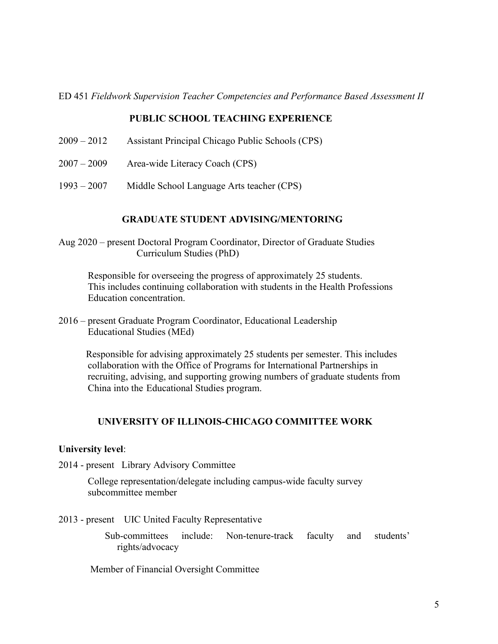ED 451 *Fieldwork Supervision Teacher Competencies and Performance Based Assessment II*

# **PUBLIC SCHOOL TEACHING EXPERIENCE**

- 2009 2012 Assistant Principal Chicago Public Schools (CPS)
- 2007 2009 Area-wide Literacy Coach (CPS)
- 1993 2007 Middle School Language Arts teacher (CPS)

## **GRADUATE STUDENT ADVISING/MENTORING**

Aug 2020 – present Doctoral Program Coordinator, Director of Graduate Studies Curriculum Studies (PhD)

Responsible for overseeing the progress of approximately 25 students. This includes continuing collaboration with students in the Health Professions Education concentration.

2016 – present Graduate Program Coordinator, Educational Leadership Educational Studies (MEd)

Responsible for advising approximately 25 students per semester. This includes collaboration with the Office of Programs for International Partnerships in recruiting, advising, and supporting growing numbers of graduate students from China into the Educational Studies program.

# **UNIVERSITY OF ILLINOIS-CHICAGO COMMITTEE WORK**

#### **University level**:

2014 - present Library Advisory Committee

College representation/delegate including campus-wide faculty survey subcommittee member

2013 - present UIC United Faculty Representative

 Sub-committees include: Non-tenure-track faculty and students' rights/advocacy

Member of Financial Oversight Committee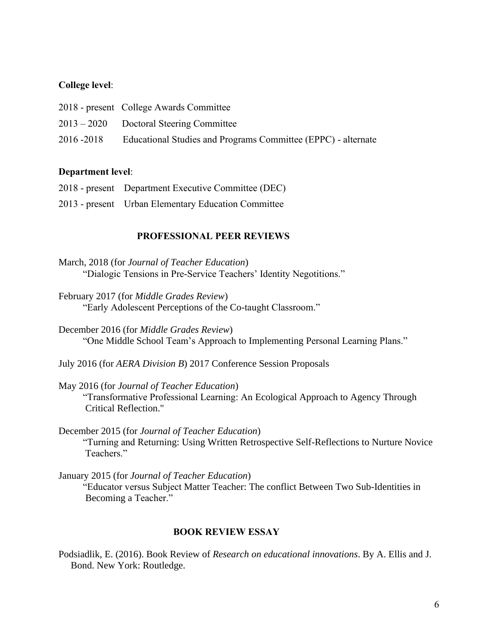# **College level**:

|             | 2018 - present College Awards Committee                       |
|-------------|---------------------------------------------------------------|
|             | $2013 - 2020$ Doctoral Steering Committee                     |
| 2016 - 2018 | Educational Studies and Programs Committee (EPPC) - alternate |

## **Department level**:

| 2018 - present Department Executive Committee (DEC) |
|-----------------------------------------------------|
| 2013 - present Urban Elementary Education Committee |

#### **PROFESSIONAL PEER REVIEWS**

- March, 2018 (for *Journal of Teacher Education*) "Dialogic Tensions in Pre-Service Teachers' Identity Negotitions."
- February 2017 (for *Middle Grades Review*) "Early Adolescent Perceptions of the Co-taught Classroom."

December 2016 (for *Middle Grades Review*) "One Middle School Team's Approach to Implementing Personal Learning Plans."

July 2016 (for *AERA Division B*) 2017 Conference Session Proposals

May 2016 (for *Journal of Teacher Education*) "Transformative Professional Learning: An Ecological Approach to Agency Through Critical Reflection."

December 2015 (for *Journal of Teacher Education*) "Turning and Returning: Using Written Retrospective Self-Reflections to Nurture Novice Teachers."

January 2015 (for *Journal of Teacher Education*)

 "Educator versus Subject Matter Teacher: The conflict Between Two Sub-Identities in Becoming a Teacher."

#### **BOOK REVIEW ESSAY**

Podsiadlik, E. (2016). Book Review of *Research on educational innovations*. By A. Ellis and J. Bond. New York: Routledge.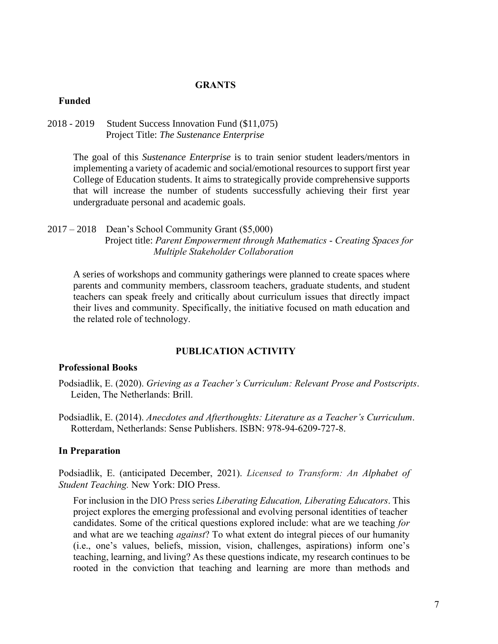#### **GRANTS**

#### **Funded**

2018 - 2019 Student Success Innovation Fund (\$11,075) Project Title: *The Sustenance Enterprise*

> The goal of this *Sustenance Enterprise* is to train senior student leaders/mentors in implementing a variety of academic and social/emotional resources to support first year College of Education students. It aims to strategically provide comprehensive supports that will increase the number of students successfully achieving their first year undergraduate personal and academic goals.

2017 – 2018 Dean's School Community Grant (\$5,000) Project title: *Parent Empowerment through Mathematics* - *Creating Spaces for Multiple Stakeholder Collaboration*

A series of workshops and community gatherings were planned to create spaces where parents and community members, classroom teachers, graduate students, and student teachers can speak freely and critically about curriculum issues that directly impact their lives and community. Specifically, the initiative focused on math education and the related role of technology.

#### **PUBLICATION ACTIVITY**

#### **Professional Books**

- Podsiadlik, E. (2020). *Grieving as a Teacher's Curriculum: Relevant Prose and Postscripts*. Leiden, The Netherlands: Brill.
- Podsiadlik, E. (2014). *Anecdotes and Afterthoughts: Literature as a Teacher's Curriculum*. Rotterdam, Netherlands: Sense Publishers. ISBN: 978-94-6209-727-8.

## **In Preparation**

Podsiadlik, E. (anticipated December, 2021). *Licensed to Transform: An Alphabet of Student Teaching.* New York: DIO Press.

For inclusion in the DIO Press series *Liberating Education, Liberating Educators*. This project explores the emerging professional and evolving personal identities of teacher candidates. Some of the critical questions explored include: what are we teaching *for* and what are we teaching *against*? To what extent do integral pieces of our humanity (i.e., one's values, beliefs, mission, vision, challenges, aspirations) inform one's teaching, learning, and living? As these questions indicate, my research continues to be rooted in the conviction that teaching and learning are more than methods and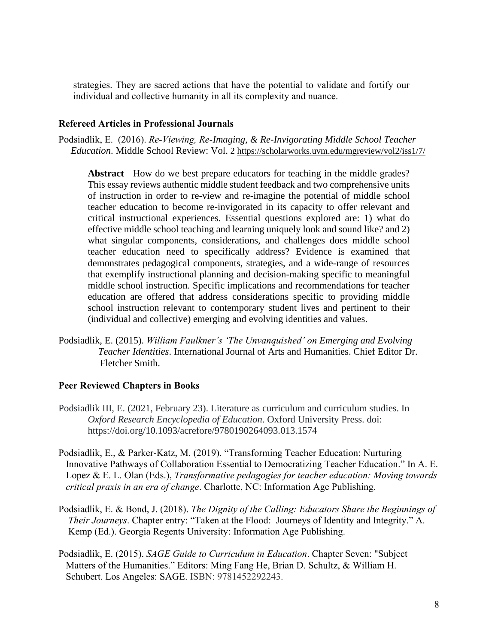strategies. They are sacred actions that have the potential to validate and fortify our individual and collective humanity in all its complexity and nuance.

## **Refereed Articles in Professional Journals**

Podsiadlik, E. (2016). *Re-Viewing, Re-Imaging, & Re-Invigorating Middle School Teacher Education*. Middle School Review: Vol. 2 <https://scholarworks.uvm.edu/mgreview/vol2/iss1/7/>

**Abstract** How do we best prepare educators for teaching in the middle grades? This essay reviews authentic middle student feedback and two comprehensive units of instruction in order to re-view and re-imagine the potential of middle school teacher education to become re-invigorated in its capacity to offer relevant and critical instructional experiences. Essential questions explored are: 1) what do effective middle school teaching and learning uniquely look and sound like? and 2) what singular components, considerations, and challenges does middle school teacher education need to specifically address? Evidence is examined that demonstrates pedagogical components, strategies, and a wide-range of resources that exemplify instructional planning and decision-making specific to meaningful middle school instruction. Specific implications and recommendations for teacher education are offered that address considerations specific to providing middle school instruction relevant to contemporary student lives and pertinent to their (individual and collective) emerging and evolving identities and values.

Podsiadlik, E. (2015). *William Faulkner's 'The Unvanquished' on Emerging and Evolving Teacher Identities*. International Journal of Arts and Humanities. Chief Editor Dr. Fletcher Smith.

#### **Peer Reviewed Chapters in Books**

- Podsiadlik III, E. (2021, February 23). Literature as curriculum and curriculum studies. In *Oxford Research Encyclopedia of Education*. Oxford University Press. doi: https://doi.org/10.1093/acrefore/9780190264093.013.1574
- Podsiadlik, E., & Parker-Katz, M. (2019). "Transforming Teacher Education: Nurturing Innovative Pathways of Collaboration Essential to Democratizing Teacher Education." In A. E. Lopez & E. L. Olan (Eds.), *Transformative pedagogies for teacher education: Moving towards critical praxis in an era of change*. Charlotte, NC: Information Age Publishing.
- Podsiadlik, E. & Bond, J. (2018). *The Dignity of the Calling: Educators Share the Beginnings of Their Journeys*. Chapter entry: "Taken at the Flood: Journeys of Identity and Integrity." A. Kemp (Ed.). Georgia Regents University: Information Age Publishing.
- Podsiadlik, E. (2015). *SAGE Guide to Curriculum in Education*. Chapter Seven: "Subject Matters of the Humanities." Editors: Ming Fang He, Brian D. Schultz, & William H. Schubert. Los Angeles: SAGE. ISBN: 9781452292243.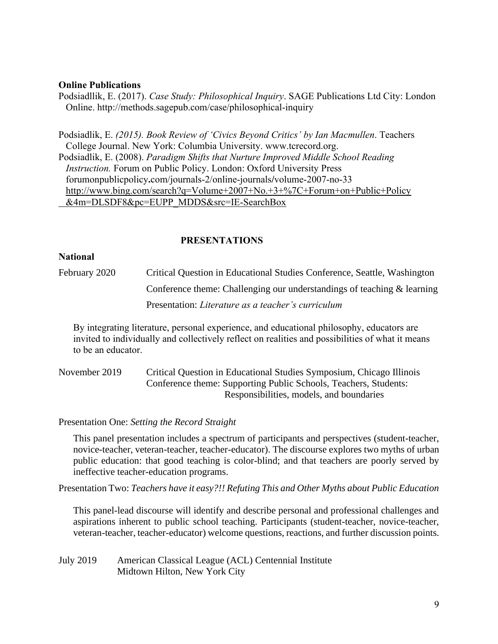### **Online Publications**

Podsiadllik, E. (2017). *Case Study: Philosophical Inquiry*. SAGE Publications Ltd City: London Online. http://methods.sagepub.com/case/philosophical-inquiry

Podsiadlik, E. *(2015). Book Review of 'Civics Beyond Critics' by Ian Macmullen*. Teachers College Journal. New York: Columbia University. [www.tcrecord.org.](http://www.tcrecord.org/) Podsiadlik, E. (2008). *Paradigm Shifts that Nurture Improved Middle School Reading Instruction.* Forum on Public Policy. London: Oxford University Press forumonpublicpolicy**.**com/journals-2/online-journals**/**volume-2007-no-33 [http://www.bing.com/search?q=Volume+2007+No.+3+%7C+Forum+on+Public+Policy](http://www.bing.com/search?q=Volume+2007+No.+3+%7C+Forum+on+Public+Policy%20%20%20%20%20%20%20&4m=DLSDF8&pc=EUPP_MDDS&src=IE-SearchBox)   [&4m=DLSDF8&pc=EUPP\\_MDDS&src=IE-SearchBox](http://www.bing.com/search?q=Volume+2007+No.+3+%7C+Forum+on+Public+Policy%20%20%20%20%20%20%20&4m=DLSDF8&pc=EUPP_MDDS&src=IE-SearchBox)

# **PRESENTATIONS**

## **National**

February 2020 Critical Question in Educational Studies Conference, Seattle, Washington Conference theme: Challenging our understandings of teaching & learning Presentation: *Literature as a teacher's curriculum*

By integrating literature, personal experience, and educational philosophy, educators are invited to individually and collectively reflect on realities and possibilities of what it means to be an educator.

November 2019 Critical Question in Educational Studies Symposium, Chicago Illinois Conference theme: Supporting Public Schools, Teachers, Students: Responsibilities, models, and boundaries

Presentation One: *Setting the Record St*r*aight* 

This panel presentation includes a spectrum of participants and perspectives (student-teacher, novice-teacher, veteran-teacher, teacher-educator). The discourse explores two myths of urban public education: that good teaching is color-blind; and that teachers are poorly served by ineffective teacher-education programs.

Presentation Two: *Teachers have it easy?!! Refuting This and Other Myths about Public Education*

This panel-lead discourse will identify and describe personal and professional challenges and aspirations inherent to public school teaching. Participants (student-teacher, novice-teacher, veteran-teacher, teacher-educator) welcome questions, reactions, and further discussion points.

July 2019 American Classical League (ACL) Centennial Institute Midtown Hilton, New York City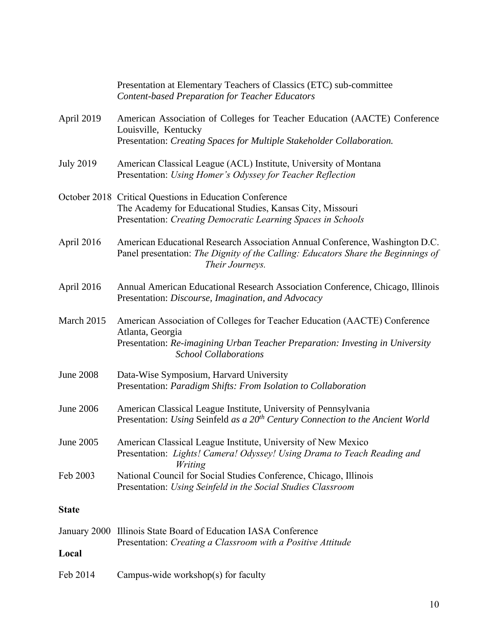|                  | Presentation at Elementary Teachers of Classics (ETC) sub-committee<br><b>Content-based Preparation for Teacher Educators</b>                                                                                  |
|------------------|----------------------------------------------------------------------------------------------------------------------------------------------------------------------------------------------------------------|
| April 2019       | American Association of Colleges for Teacher Education (AACTE) Conference<br>Louisville, Kentucky<br>Presentation: Creating Spaces for Multiple Stakeholder Collaboration.                                     |
| <b>July 2019</b> | American Classical League (ACL) Institute, University of Montana<br>Presentation: Using Homer's Odyssey for Teacher Reflection                                                                                 |
|                  | October 2018 Critical Questions in Education Conference<br>The Academy for Educational Studies, Kansas City, Missouri<br>Presentation: Creating Democratic Learning Spaces in Schools                          |
| April 2016       | American Educational Research Association Annual Conference, Washington D.C.<br>Panel presentation: The Dignity of the Calling: Educators Share the Beginnings of<br>Their Journeys.                           |
| April 2016       | Annual American Educational Research Association Conference, Chicago, Illinois<br>Presentation: Discourse, Imagination, and Advocacy                                                                           |
| March 2015       | American Association of Colleges for Teacher Education (AACTE) Conference<br>Atlanta, Georgia<br>Presentation: Re-imagining Urban Teacher Preparation: Investing in University<br><b>School Collaborations</b> |
| <b>June 2008</b> | Data-Wise Symposium, Harvard University<br>Presentation: Paradigm Shifts: From Isolation to Collaboration                                                                                                      |
| <b>June 2006</b> | American Classical League Institute, University of Pennsylvania<br>Presentation: Using Seinfeld as a 20 <sup>th</sup> Century Connection to the Ancient World                                                  |
| June 2005        | American Classical League Institute, University of New Mexico<br>Presentation: Lights! Camera! Odyssey! Using Drama to Teach Reading and<br>Writing                                                            |
| Feb 2003         | National Council for Social Studies Conference, Chicago, Illinois<br>Presentation: Using Seinfeld in the Social Studies Classroom                                                                              |
| <b>State</b>     |                                                                                                                                                                                                                |
| Local            | January 2000 Illinois State Board of Education IASA Conference<br>Presentation: Creating a Classroom with a Positive Attitude                                                                                  |
| Feb 2014         | Campus-wide workshop(s) for faculty                                                                                                                                                                            |
|                  |                                                                                                                                                                                                                |